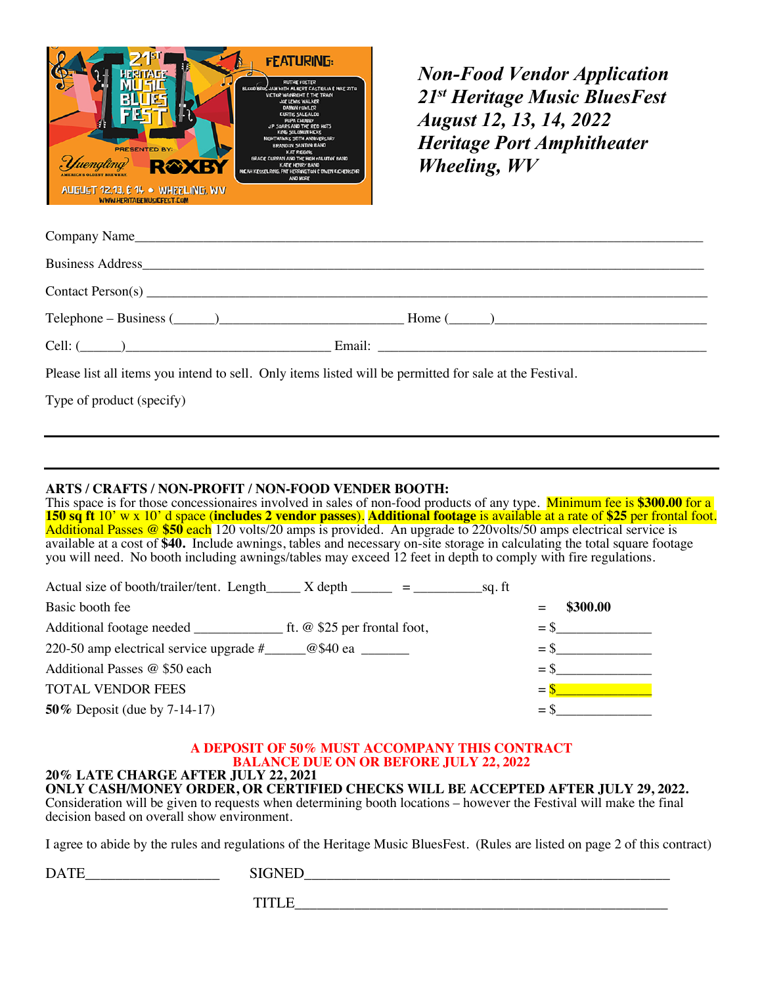

*Non-Food Vendor Application 21st Heritage Music BluesFest August 12, 13, 14, 2022 Heritage Port Amphitheater Wheeling, WV*

| Contact Person(s) |               |
|-------------------|---------------|
|                   | $Home ( \_ )$ |
| Cell: $(\_\_)$    |               |

Please list all items you intend to sell. Only items listed will be permitted for sale at the Festival.

Type of product (specify)

## **ARTS / CRAFTS / NON-PROFIT / NON-FOOD VENDER BOOTH:**

This space is for those concessionaires involved in sales of non-food products of any type. Minimum fee is **\$300.00** for a **150 sq ft** 10' w x 10' d space (**includes 2 vendor passes**). **Additional footage** is available at a rate of **\$25** per frontal foot. Additional Passes @ **\$50** each 120 volts/20 amps is provided. An upgrade to 220volts/50 amps electrical service is available at a cost of **\$40.** Include awnings, tables and necessary on-site storage in calculating the total square footage you will need. No booth including awnings/tables may exceed 12 feet in depth to comply with fire regulations.

| Actual size of booth/trailer/tent. Length $X$ depth $\frac{1}{X}$ =<br>sq. ft      |                  |
|------------------------------------------------------------------------------------|------------------|
| Basic booth fee                                                                    | \$300.00         |
|                                                                                    | $=$ S            |
| 220-50 amp electrical service upgrade $\#$ $\qquad \qquad \textcircled{g}$ \$40 ea | $=$ \$           |
| Additional Passes @ \$50 each                                                      | $=$ \$           |
| <b>TOTAL VENDOR FEES</b>                                                           | $=$ $\mathbf{S}$ |
| 50% Deposit (due by $7-14-17$ )                                                    |                  |

# **A DEPOSIT OF 50% MUST ACCOMPANY THIS CONTRACT BALANCE DUE ON OR BEFORE JULY 22, 2022**

#### **20% LATE CHARGE AFTER JULY 22, 2021 ONLY CASH/MONEY ORDER, OR CERTIFIED CHECKS WILL BE ACCEPTED AFTER JULY 29, 2022.**

Consideration will be given to requests when determining booth locations – however the Festival will make the final decision based on overall show environment.

I agree to abide by the rules and regulations of the Heritage Music BluesFest. (Rules are listed on page 2 of this contract)

| <b>DATE</b> | <b>SIGNED</b>        |
|-------------|----------------------|
|             | <b>TITI</b><br>----- |